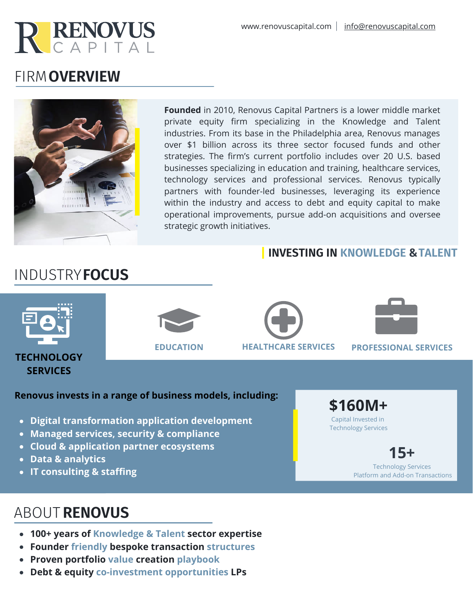

# FIRM **OVERVIEW**



**Founded** in 2010, Renovus Capital Partners is a lower middle market private equity firm specializing in the Knowledge and Talent industries. From its base in the Philadelphia area, Renovus manages over \$1 billion across its three sector focused funds and other strategies. The firm's current portfolio includes over 20 U.S. based businesses specializing in education and training, healthcare services, technology services and professional services. Renovus typically partners with founder-led businesses, leveraging its experience within the industry and access to debt and equity capital to make operational improvements, pursue add-on acquisitions and oversee strategic growth initiatives.

### **INVESTING IN KNOWLEDGE & TALENT**



#### **Renovus invests in a range of business models, including:**

- **Digital transformation application development**
- **Managed services, security & compliance**
- **Cloud & application partner ecosystems**
- **Data & analytics**
- **IT consulting & staffing**

# ABOUT **RENOVUS**

- **100+ years of Knowledge & Talent sector expertise**
- **Founder friendly bespoke transaction structures**
- **Proven portfolio value creation playbook**
- **Debt & equity co-investment opportunities LPs**

**\$160M+**

Capital Invested in Technology Services

> **15+** Technology Services Platform and Add-on Transactions